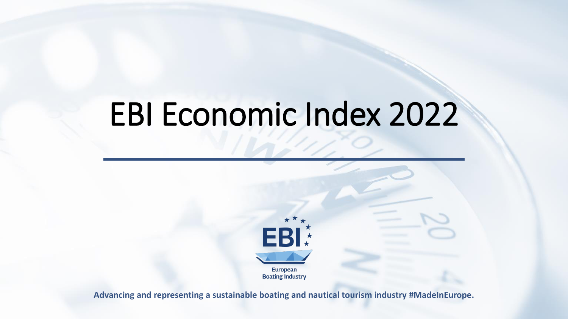### EBI Economic Index 2022



**Advancing and representing a sustainable boating and nautical tourism industry #MadeInEurope.**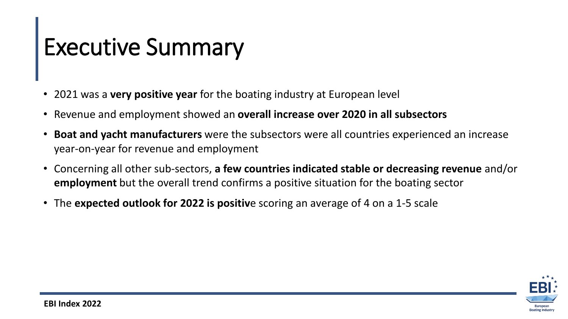## Executive Summary

- 2021 was a **very positive year** for the boating industry at European level
- Revenue and employment showed an **overall increase over 2020 in all subsectors**
- **Boat and yacht manufacturers** were the subsectors were all countries experienced an increase year-on-year for revenue and employment
- Concerning all other sub-sectors, **a few countries indicated stable or decreasing revenue** and/or **employment** but the overall trend confirms a positive situation for the boating sector
- The **expected outlook for 2022 is positiv**e scoring an average of 4 on a 1-5 scale

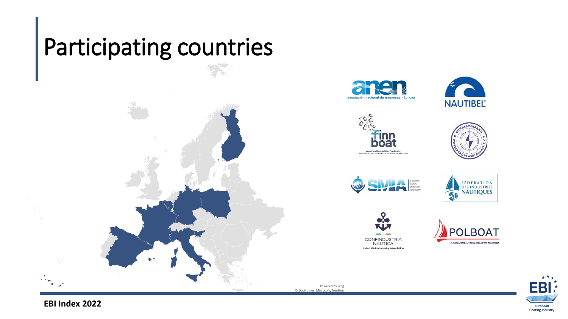#### Participating countries



















Powered by Bing © GeoNames, Microsoft, TomTom

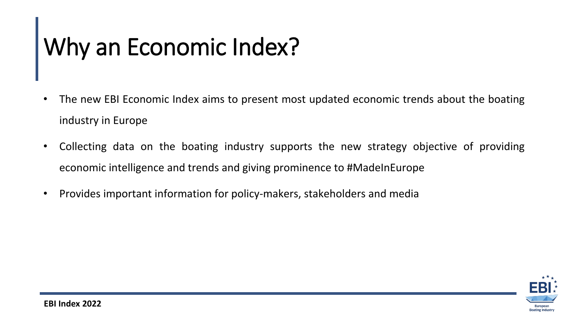# Why an Economic Index?

- The new EBI Economic Index aims to present most updated economic trends about the boating industry in Europe
- Collecting data on the boating industry supports the new strategy objective of providing economic intelligence and trends and giving prominence to #MadeInEurope
- Provides important information for policy-makers, stakeholders and media

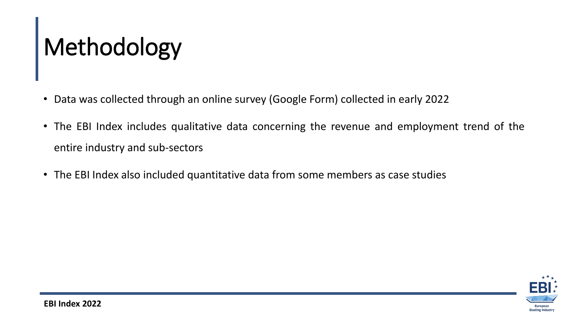# Methodology

- Data was collected through an online survey (Google Form) collected in early 2022
- The EBI Index includes qualitative data concerning the revenue and employment trend of the entire industry and sub-sectors
- The EBI Index also included quantitative data from some members as case studies

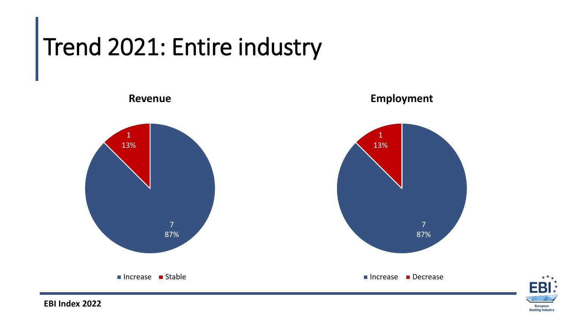### Trend 2021: Entire industry



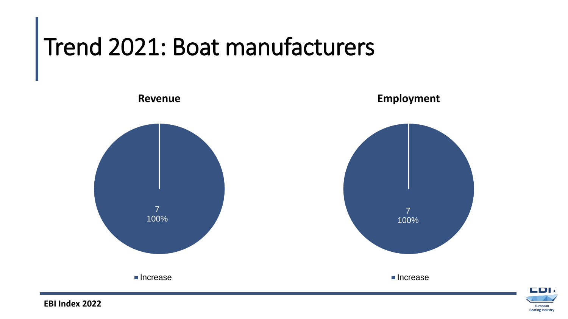# Trend 2021: Boat manufacturers





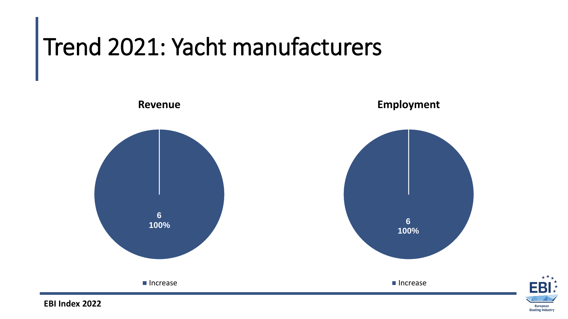# Trend 2021: Yacht manufacturers





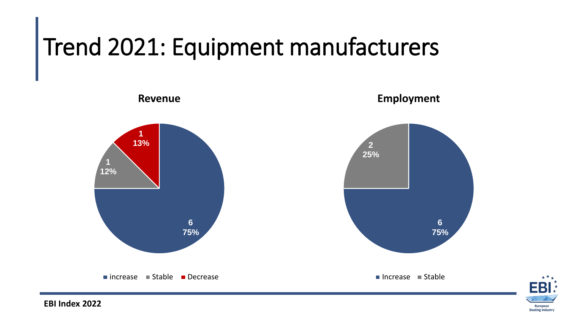### Trend 2021: Equipment manufacturers



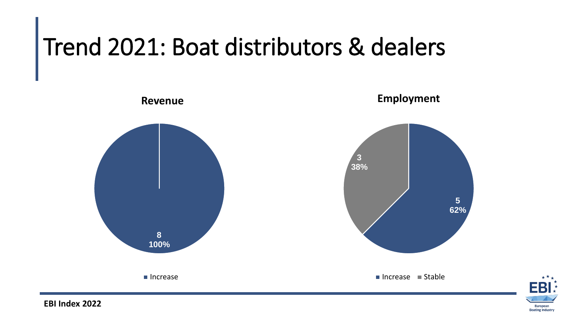# Trend 2021: Boat distributors & dealers



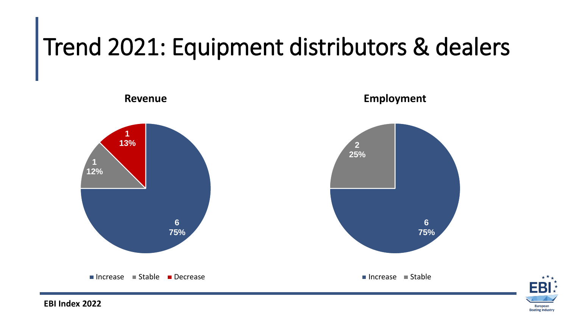### Trend 2021: Equipment distributors & dealers



**EBI Index 2022**

European **Boating Industry**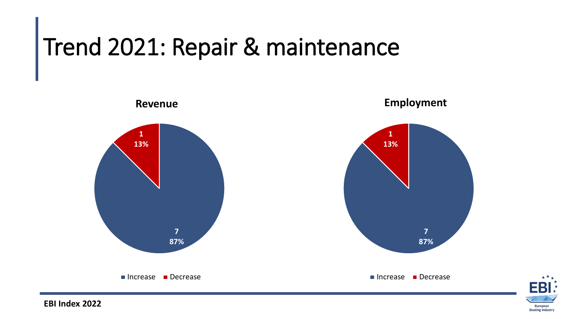### Trend 2021: Repair & maintenance



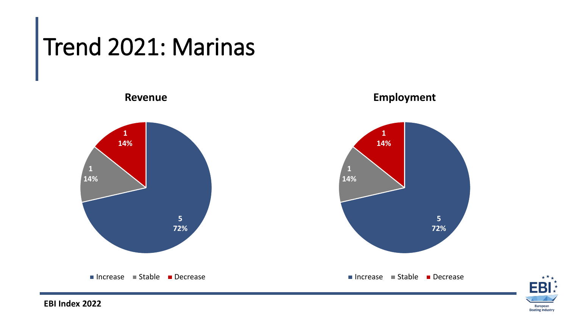#### Trend 2021: Marinas

**5 72% 1 14% 1 14% Revenue**  $\blacksquare$  Increase  $\blacksquare$  Stable  $\blacksquare$  Decrease **5 72% 1 14% 1 14% Employment**  $\blacksquare$  Increase  $\blacksquare$  Stable  $\blacksquare$  Decrease

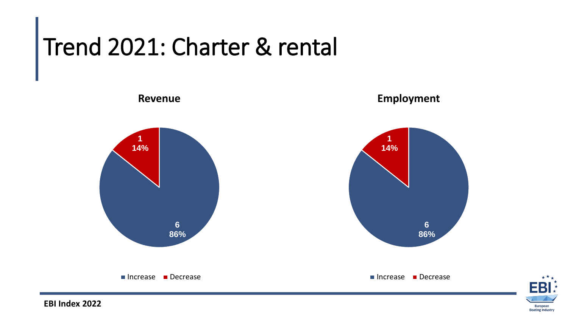# Trend 2021: Charter & rental



European **Boating Industry**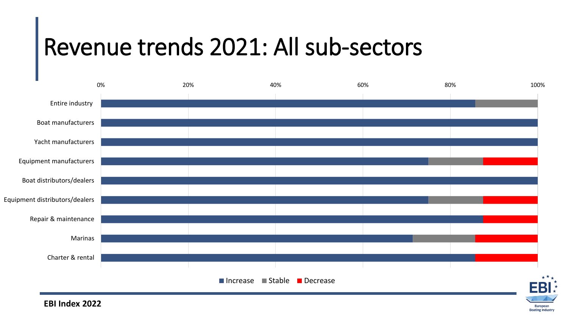### Revenue trends 2021: All sub-sectors



European **Boating Industry**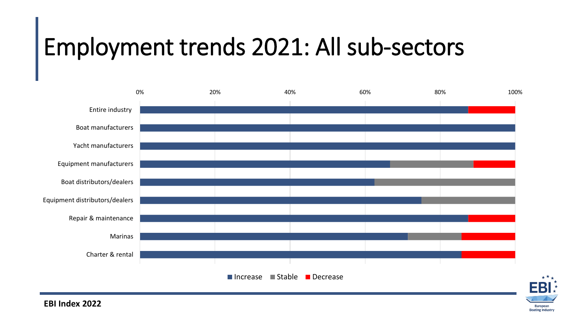#### Employment trends 2021: All sub-sectors



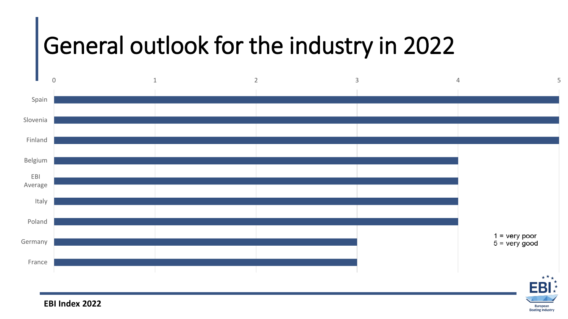#### General outlook for the industry in 2022



**EBI Index 2022**

European **Boating Industry**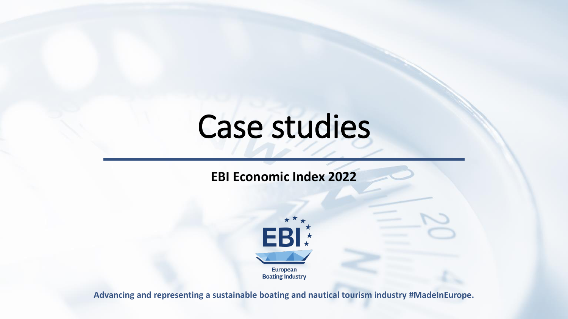## Case studies

#### **EBI Economic Index 2022**



**Advancing and representing a sustainable boating and nautical tourism industry #MadeInEurope.**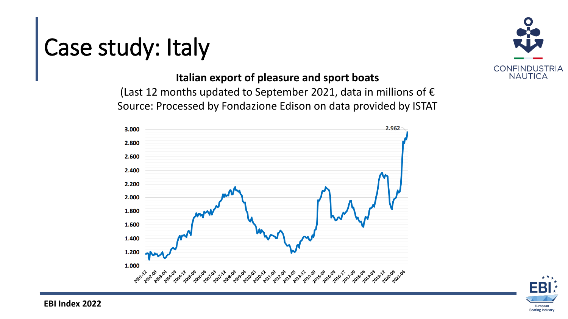#### Case study: Italy

#### **Italian export of pleasure and sport boats**

(Last 12 months updated to September 2021, data in millions of  $\epsilon$ Source: Processed by Fondazione Edison on data provided by ISTAT





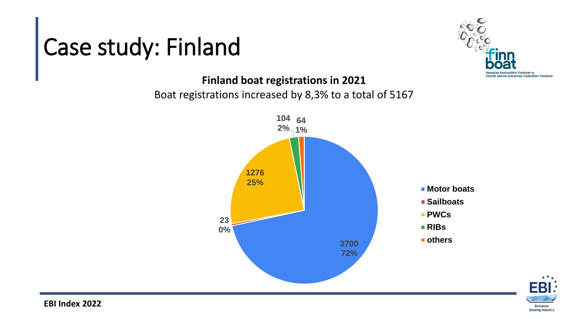### Case study: Finland



#### **Finland boat registrations in 2021**

#### Boat registrations increased by 8,3% to a total of 5167



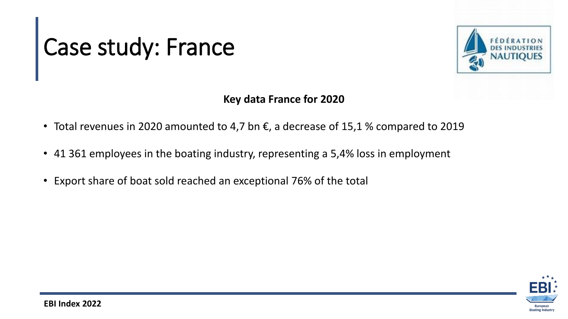# Case study: France



#### **Key data France for 2020**

- Total revenues in 2020 amounted to 4,7 bn  $\epsilon$ , a decrease of 15,1 % compared to 2019
- 41 361 employees in the boating industry, representing a 5,4% loss in employment
- Export share of boat sold reached an exceptional 76% of the total

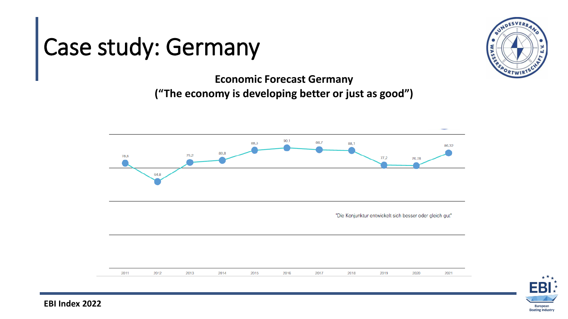#### Case study: Germany



**Economic Forecast Germany ("The economy is developing better or just as good")**



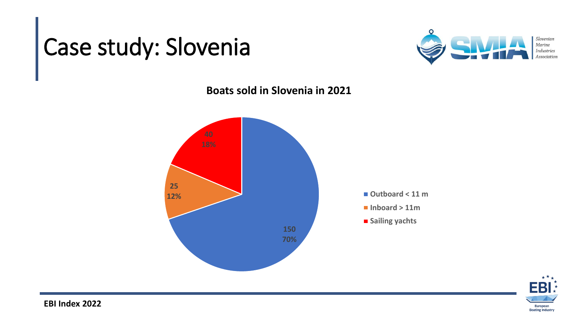## Case study: Slovenia



**Boats sold in Slovenia in 2021**